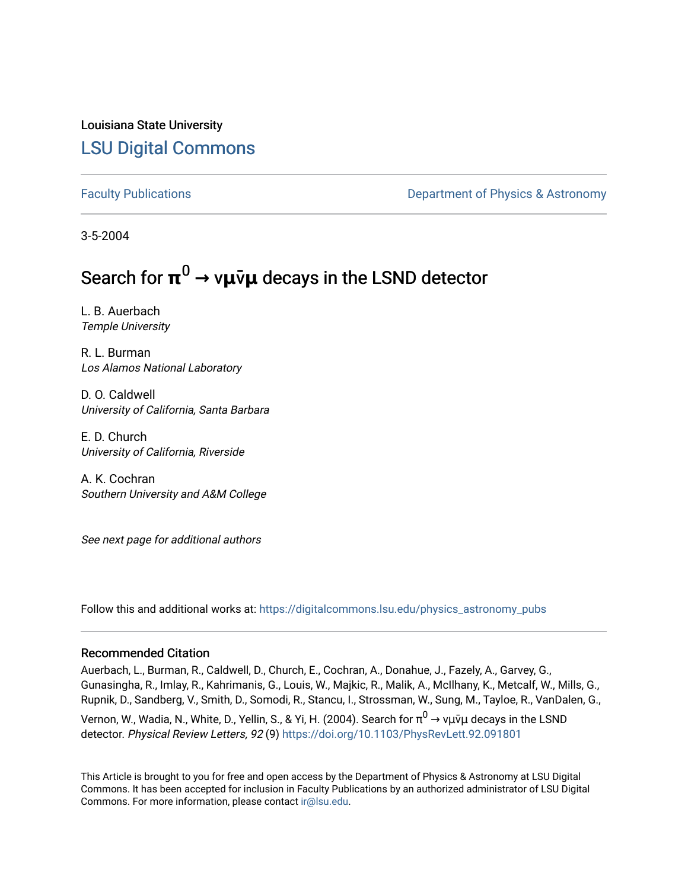Louisiana State University [LSU Digital Commons](https://digitalcommons.lsu.edu/)

[Faculty Publications](https://digitalcommons.lsu.edu/physics_astronomy_pubs) **Example 2** Constant Department of Physics & Astronomy

3-5-2004

## Search for **π** <sup>0</sup> **→** v**μ**v**̄μ** decays in the LSND detector

L. B. Auerbach Temple University

R. L. Burman Los Alamos National Laboratory

D. O. Caldwell University of California, Santa Barbara

E. D. Church University of California, Riverside

A. K. Cochran Southern University and A&M College

See next page for additional authors

Follow this and additional works at: [https://digitalcommons.lsu.edu/physics\\_astronomy\\_pubs](https://digitalcommons.lsu.edu/physics_astronomy_pubs?utm_source=digitalcommons.lsu.edu%2Fphysics_astronomy_pubs%2F3439&utm_medium=PDF&utm_campaign=PDFCoverPages) 

## Recommended Citation

Auerbach, L., Burman, R., Caldwell, D., Church, E., Cochran, A., Donahue, J., Fazely, A., Garvey, G., Gunasingha, R., Imlay, R., Kahrimanis, G., Louis, W., Majkic, R., Malik, A., McIlhany, K., Metcalf, W., Mills, G., Rupnik, D., Sandberg, V., Smith, D., Somodi, R., Stancu, I., Strossman, W., Sung, M., Tayloe, R., VanDalen, G., Vernon, W., Wadia, N., White, D., Yellin, S., & Yi, H. (2004). Search for  $\pi^0\to$  νμ⊽μ decays in the LSND detector. Physical Review Letters, 92 (9)<https://doi.org/10.1103/PhysRevLett.92.091801>

This Article is brought to you for free and open access by the Department of Physics & Astronomy at LSU Digital Commons. It has been accepted for inclusion in Faculty Publications by an authorized administrator of LSU Digital Commons. For more information, please contact [ir@lsu.edu](mailto:ir@lsu.edu).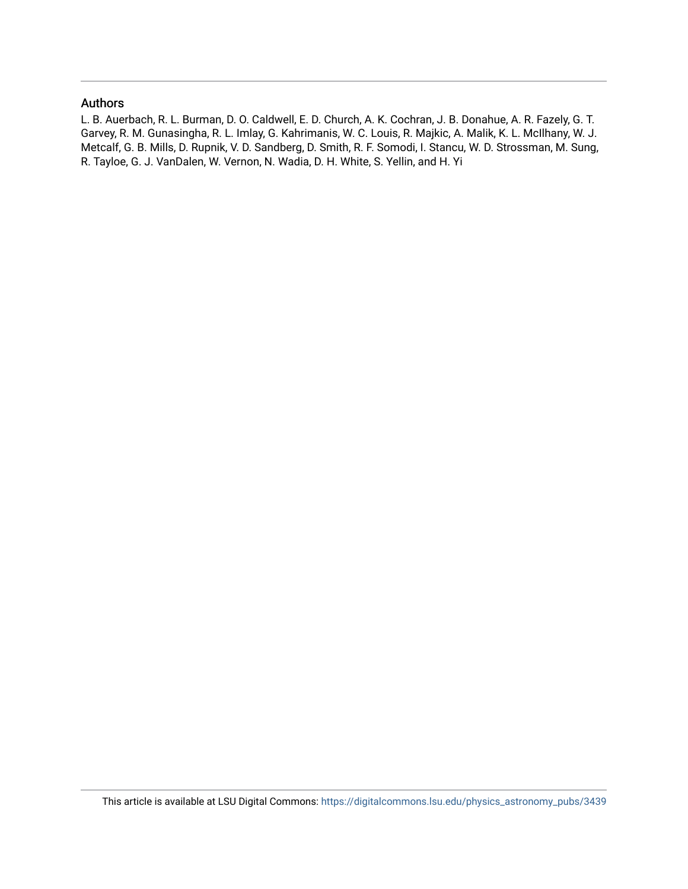## Authors

L. B. Auerbach, R. L. Burman, D. O. Caldwell, E. D. Church, A. K. Cochran, J. B. Donahue, A. R. Fazely, G. T. Garvey, R. M. Gunasingha, R. L. Imlay, G. Kahrimanis, W. C. Louis, R. Majkic, A. Malik, K. L. McIlhany, W. J. Metcalf, G. B. Mills, D. Rupnik, V. D. Sandberg, D. Smith, R. F. Somodi, I. Stancu, W. D. Strossman, M. Sung, R. Tayloe, G. J. VanDalen, W. Vernon, N. Wadia, D. H. White, S. Yellin, and H. Yi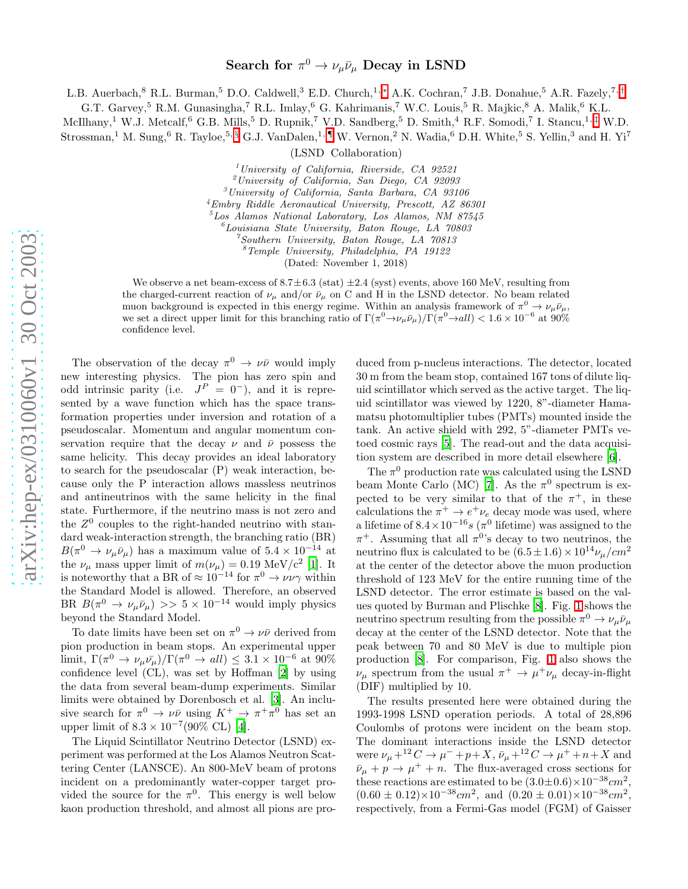L.B. Auerbach,<sup>8</sup> R.L. Burman,<sup>5</sup> D.O. Caldwell,<sup>3</sup> E.D. Church,<sup>1,\*</sup> A.K. Cochran,<sup>7</sup> J.B. Donahue,<sup>5</sup> A.R. Fazely,<sup>7,[†](#page-4-1)</sup>

G.T. Garvey,<sup>5</sup> R.M. Gunasingha,<sup>7</sup> R.L. Imlay,<sup>6</sup> G. Kahrimanis,<sup>7</sup> W.C. Louis,<sup>5</sup> R. Majkic,<sup>8</sup> A. Malik,<sup>6</sup> K.L.

McIlhany,<sup>1</sup> W.J. Metcalf, <sup>6</sup> G.B. Mills, <sup>5</sup> D. Rupnik, <sup>7</sup> V.D. Sandberg, <sup>5</sup> D. Smith, <sup>4</sup> R.F. Somodi, <sup>7</sup> I. Stancu, <sup>1, [‡](#page-4-2)</sup> W.D.  $\frac{1}{2}$  M. Sung,  $6$  R. Tayloe,  $5, \frac{5}{9}$  G.J. VanDalen,  $^{1, \P}$  W. Vernon,  $^2$  N. Wadia,  $^6$  D.H. White,  $^5$  S. Yellin,  $^3$  and H. Yi<sup>7</sup>

(LSND Collaboration)

<sup>1</sup> University of California, Riverside, CA 92521<br><sup>2</sup> University of California, San Diego, CA 92093

 $3$ University of California, Santa Barbara, CA 93106

<sup>4</sup>Embry Riddle Aeronautical University, Prescott, AZ 86301

 $5$ Los Alamos National Laboratory, Los Alamos, NM 87545

 ${}^6$ Louisiana State University, Baton Rouge, LA 70803<br>  ${}^7$ Southern University, Baton Rouge, LA 70813<br>  ${}^8$ Temple University, Philadelphia, PA 19122

(Dated: November 1, 2018)

We observe a net beam-excess of  $8.7 \pm 6.3$  (stat)  $\pm 2.4$  (syst) events, above 160 MeV, resulting from the charged-current reaction of  $\nu_{\mu}$  and/or  $\bar{\nu}_{\mu}$  on C and H in the LSND detector. No beam related muon background is expected in this energy regime. Within an analysis framework of  $\pi^0 \to \nu_\mu \bar{\nu}_\mu$ , we set a direct upper limit for this branching ratio of  $\Gamma(\pi^0 \to \nu_\mu \bar{\nu}_\mu)/\Gamma(\pi^0 \to all) < 1.6 \times 10^{-6}$  at 90% confidence level.

The observation of the decay  $\pi^0 \to \nu\bar{\nu}$  would imply new interesting physics. The pion has zero spin and odd intrinsic parity (i.e.  $J^P = 0^-$ ), and it is represented by a wave function which has the space transformation properties under inversion and rotation of a pseudoscalar. Momentum and angular momentum conservation require that the decay  $\nu$  and  $\bar{\nu}$  possess the same helicity. This decay provides an ideal laboratory to search for the pseudoscalar (P) weak interaction, because only the P interaction allows massless neutrinos and antineutrinos with the same helicity in the final state. Furthermore, if the neutrino mass is not zero and the  $Z^0$  couples to the right-handed neutrino with standard weak-interaction strength, the branching ratio (BR)  $B(\pi^0 \to \nu_\mu \bar{\nu}_\mu)$  has a maximum value of  $5.4 \times 10^{-14}$  at the  $\nu_{\mu}$  mass upper limit of  $m(\nu_{\mu}) = 0.19 \text{ MeV/c}^2$  [\[1](#page-4-5)]. It is noteworthy that a BR of  $\approx 10^{-14}$  for  $\pi^0 \to \nu \nu \gamma$  within the Standard Model is allowed. Therefore, an observed BR  $B(\pi^0 \to \nu_\mu \bar{\nu}_\mu) >> 5 \times 10^{-14}$  would imply physics beyond the Standard Model.

To date limits have been set on  $\pi^0 \to \nu\bar{\nu}$  derived from pion production in beam stops. An experimental upper limit,  $\Gamma(\pi^0 \to \nu_\mu \bar{\nu_\mu})/\Gamma(\pi^0 \to all) \leq 3.1 \times 10^{-6}$  at 90% confidence level (CL), was set by Hoffman [\[2\]](#page-4-6) by using the data from several beam-dump experiments. Similar limits were obtained by Dorenbosch et al. [\[3](#page-4-7)]. An inclusive search for  $\pi^0 \to \nu\bar{\nu}$  using  $K^+ \to \pi^+\pi^0$  has set an upper limit of  $8.3 \times 10^{-7} (90\% \text{ CL})$  [\[4](#page-4-8)].

The Liquid Scintillator Neutrino Detector (LSND) experiment was performed at the Los Alamos Neutron Scattering Center (LANSCE). An 800-MeV beam of protons incident on a predominantly water-copper target provided the source for the  $\pi^0$ . This energy is well below kaon production threshold, and almost all pions are produced from p-nucleus interactions. The detector, located 30 m from the beam stop, contained 167 tons of dilute liquid scintillator which served as the active target. The liquid scintillator was viewed by 1220, 8"-diameter Hamamatsu photomultiplier tubes (PMTs) mounted inside the tank. An active shield with 292, 5"-diameter PMTs vetoed cosmic rays [\[5](#page-4-9)]. The read-out and the data acquisition system are described in more detail elsewhere [\[6\]](#page-4-10).

The  $\pi^0$  production rate was calculated using the LSND beam Monte Carlo (MC) [\[7](#page-5-0)]. As the  $\pi^0$  spectrum is expected to be very similar to that of the  $\pi^+$ , in these calculations the  $\pi^+ \to e^+ \nu_e$  decay mode was used, where a lifetime of  $8.4 \times 10^{-16} s$  ( $\pi^0$  lifetime) was assigned to the  $\pi^+$ . Assuming that all  $\pi^0$ 's decay to two neutrinos, the neutrino flux is calculated to be  $(6.5 \pm 1.6) \times 10^{14} \nu_{\mu}/cm^2$ at the center of the detector above the muon production threshold of 123 MeV for the entire running time of the LSND detector. The error estimate is based on the values quoted by Burman and Plischke [\[8\]](#page-5-1). Fig. [1](#page-3-0) shows the neutrino spectrum resulting from the possible  $\pi^0 \to \nu_\mu \bar{\nu}_\mu$ decay at the center of the LSND detector. Note that the peak between 70 and 80 MeV is due to multiple pion production [\[8](#page-5-1)]. For comparison, Fig. [1](#page-3-0) also shows the  $\nu_{\mu}$  spectrum from the usual  $\pi^{+} \rightarrow \mu^{+} \nu_{\mu}$  decay-in-flight (DIF) multiplied by 10.

The results presented here were obtained during the 1993-1998 LSND operation periods. A total of 28,896 Coulombs of protons were incident on the beam stop. The dominant interactions inside the LSND detector were  $\nu_{\mu} + {}^{12}C \rightarrow \mu^- + p + X$ ,  $\bar{\nu}_{\mu} + {}^{12}C \rightarrow \mu^+ + n + X$  and  $\bar{\nu}_{\mu} + p \rightarrow \mu^{+} + n$ . The flux-averaged cross sections for these reactions are estimated to be  $(3.0\pm0.6)\times10^{-38}$  cm<sup>2</sup>,  $(0.60 \pm 0.12) \times 10^{-38}$  cm<sup>2</sup>, and  $(0.20 \pm 0.01) \times 10^{-38}$  cm<sup>2</sup>, respectively, from a Fermi-Gas model (FGM) of Gaisser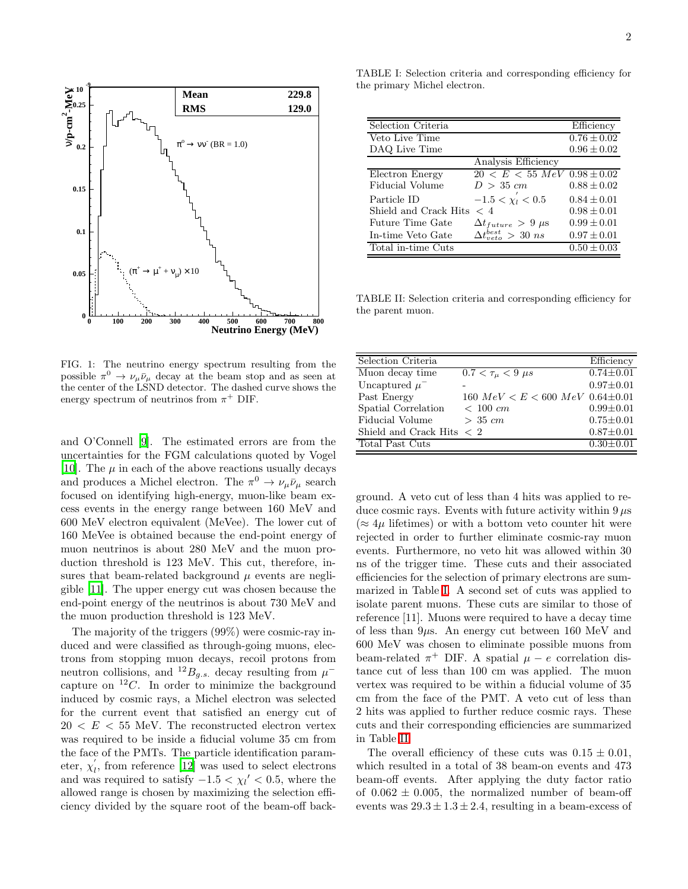



<span id="page-3-0"></span>FIG. 1: The neutrino energy spectrum resulting from the possible  $\pi^0 \to \nu_\mu \bar{\nu}_\mu$  decay at the beam stop and as seen at the center of the LSND detector. The dashed curve shows the energy spectrum of neutrinos from  $\pi^+$  DIF.

and O'Connell [\[9\]](#page-5-2). The estimated errors are from the uncertainties for the FGM calculations quoted by Vogel [\[10\]](#page-5-3). The  $\mu$  in each of the above reactions usually decays and produces a Michel electron. The  $\pi^0 \to \nu_\mu \bar{\nu}_\mu$  search focused on identifying high-energy, muon-like beam excess events in the energy range between 160 MeV and 600 MeV electron equivalent (MeVee). The lower cut of 160 MeVee is obtained because the end-point energy of muon neutrinos is about 280 MeV and the muon production threshold is 123 MeV. This cut, therefore, insures that beam-related background  $\mu$  events are negligible [\[11](#page-5-4)]. The upper energy cut was chosen because the end-point energy of the neutrinos is about 730 MeV and the muon production threshold is 123 MeV.

The majority of the triggers (99%) were cosmic-ray induced and were classified as through-going muons, electrons from stopping muon decays, recoil protons from neutron collisions, and <sup>12</sup> $B_{g.s.}$  decay resulting from  $\mu^$ capture on  ${}^{12}C$ . In order to minimize the background induced by cosmic rays, a Michel electron was selected for the current event that satisfied an energy cut of  $20 < E < 55$  MeV. The reconstructed electron vertex was required to be inside a fiducial volume 35 cm from the face of the PMTs. The particle identification param-′ eter,  $\chi'_l$ , from reference [\[12\]](#page-5-5) was used to select electrons and was required to satisfy  $-1.5 < \chi_l' < 0.5$ , where the allowed range is chosen by maximizing the selection efficiency divided by the square root of the beam-off back-

<span id="page-3-1"></span>TABLE I: Selection criteria and corresponding efficiency for the primary Michel electron.

| Selection Criteria      |                                   | Efficiency      |
|-------------------------|-----------------------------------|-----------------|
| Veto Live Time          |                                   | $0.76 \pm 0.02$ |
| DAQ Live Time           |                                   | $0.96 \pm 0.02$ |
|                         | Analysis Efficiency               |                 |
| Electron Energy         | $20 < E < 55$ MeV $0.98 \pm 0.02$ |                 |
| Fiducial Volume         | $D > 35$ cm                       | $0.88 \pm 0.02$ |
| Particle ID             | $-1.5 < \chi'_1 < 0.5$            | $0.84 \pm 0.01$ |
| Shield and Crack Hits   | $\langle$ 4                       | $0.98 \pm 0.01$ |
| <b>Future Time Gate</b> | $\Delta t_{future} > 9 \mu s$     | $0.99 \pm 0.01$ |
| In-time Veto Gate       | $\Delta t_{neto}^{best} > 30$ ns  | $0.97 \pm 0.01$ |
| Total in-time Cuts      |                                   | $0.50 \pm 0.03$ |

<span id="page-3-2"></span>TABLE II: Selection criteria and corresponding efficiency for the parent muon.

| Selection Criteria                        |                                      | Efficiency      |
|-------------------------------------------|--------------------------------------|-----------------|
| Muon decay time                           | $0.7 < \tau_{\mu} < 9 \,\mu s$       | $0.74 \pm 0.01$ |
| Uncaptured $\mu^-$                        |                                      | $0.97 \pm 0.01$ |
| Past Energy                               | 160 $MeV < E < 600 \; MeV$ 0.64±0.01 |                 |
| Spatial Correlation                       | $< 100 \; cm$                        | $0.99 \pm 0.01$ |
| Fiducial Volume                           | $> 35$ cm                            | $0.75 \pm 0.01$ |
| Shield and Crack Hits $\langle 2 \rangle$ |                                      | $0.87 \pm 0.01$ |
| Total Past Cuts                           |                                      | $0.30 \pm 0.01$ |

ground. A veto cut of less than 4 hits was applied to reduce cosmic rays. Events with future activity within  $9 \mu s$  $(\approx 4\mu$  lifetimes) or with a bottom veto counter hit were rejected in order to further eliminate cosmic-ray muon events. Furthermore, no veto hit was allowed within 30 ns of the trigger time. These cuts and their associated efficiencies for the selection of primary electrons are summarized in Table [I.](#page-3-1) A second set of cuts was applied to isolate parent muons. These cuts are similar to those of reference [11]. Muons were required to have a decay time of less than  $9\mu$ s. An energy cut between 160 MeV and 600 MeV was chosen to eliminate possible muons from beam-related  $\pi^+$  DIF. A spatial  $\mu - e$  correlation distance cut of less than 100 cm was applied. The muon vertex was required to be within a fiducial volume of 35 cm from the face of the PMT. A veto cut of less than 2 hits was applied to further reduce cosmic rays. These cuts and their corresponding efficiencies are summarized in Table [II.](#page-3-2)

The overall efficiency of these cuts was  $0.15 \pm 0.01$ , which resulted in a total of 38 beam-on events and 473 beam-off events. After applying the duty factor ratio of  $0.062 \pm 0.005$ , the normalized number of beam-off events was  $29.3 \pm 1.3 \pm 2.4$ , resulting in a beam-excess of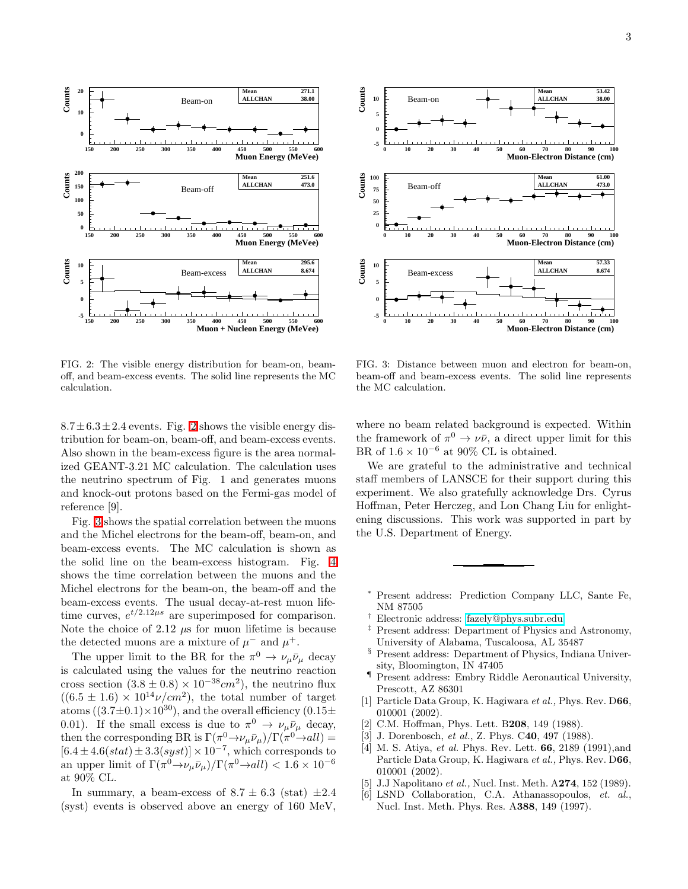

<span id="page-4-11"></span>FIG. 2: The visible energy distribution for beam-on, beamoff, and beam-excess events. The solid line represents the MC calculation.

 $8.7 \pm 6.3 \pm 2.4$  $8.7 \pm 6.3 \pm 2.4$  $8.7 \pm 6.3 \pm 2.4$  events. Fig. 2 shows the visible energy distribution for beam-on, beam-off, and beam-excess events. Also shown in the beam-excess figure is the area normalized GEANT-3.21 MC calculation. The calculation uses the neutrino spectrum of Fig. 1 and generates muons and knock-out protons based on the Fermi-gas model of reference [9].

Fig. [3](#page-4-12) shows the spatial correlation between the muons and the Michel electrons for the beam-off, beam-on, and beam-excess events. The MC calculation is shown as the solid line on the beam-excess histogram. Fig. [4](#page-5-6) shows the time correlation between the muons and the Michel electrons for the beam-on, the beam-off and the beam-excess events. The usual decay-at-rest muon lifetime curves,  $e^{t/2.12\mu s}$  are superimposed for comparison. Note the choice of 2.12  $\mu$ s for muon lifetime is because the detected muons are a mixture of  $\mu^-$  and  $\mu^+$ .

The upper limit to the BR for the  $\pi^0 \to \nu_\mu \bar{\nu}_\mu$  decay is calculated using the values for the neutrino reaction cross section  $(3.8 \pm 0.8) \times 10^{-38}$ cm<sup>2</sup>), the neutrino flux  $((6.5 \pm 1.6) \times 10^{14} \nu/cm^2)$ , the total number of target atoms  $((3.7\pm0.1)\times10^{30})$ , and the overall efficiency  $(0.15\pm$ 0.01). If the small excess is due to  $\pi^0 \to \nu_\mu \bar{\nu}_\mu$  decay, then the corresponding BR is  $\Gamma(\pi^0 \to \nu_\mu \bar{\nu}_\mu)/\Gamma(\pi^0 \to all)$  =  $[6.4 \pm 4.6(stat) \pm 3.3(syst)] \times 10^{-7}$ , which corresponds to an upper limit of  $\Gamma(\pi^0 \to \nu_\mu \bar{\nu}_\mu)/\Gamma(\pi^0 \to all) < 1.6 \times 10^{-6}$ at 90% CL.

In summary, a beam-excess of  $8.7 \pm 6.3$  (stat)  $\pm 2.4$ (syst) events is observed above an energy of 160 MeV,



<span id="page-4-12"></span>FIG. 3: Distance between muon and electron for beam-on, beam-off and beam-excess events. The solid line represents the MC calculation.

where no beam related background is expected. Within the framework of  $\pi^0 \to \nu\bar{\nu}$ , a direct upper limit for this BR of  $1.6 \times 10^{-6}$  at 90% CL is obtained.

We are grateful to the administrative and technical staff members of LANSCE for their support during this experiment. We also gratefully acknowledge Drs. Cyrus Hoffman, Peter Herczeg, and Lon Chang Liu for enlightening discussions. This work was supported in part by the U.S. Department of Energy.

- <span id="page-4-0"></span>Present address: Prediction Company LLC, Sante Fe, NM 87505
- † Electronic address: [fazely@phys.subr.edu](mailto:fazely@phys.subr.edu)
- <span id="page-4-2"></span><span id="page-4-1"></span>Present address: Department of Physics and Astronomy, University of Alabama, Tuscaloosa, AL 35487
- § Present address: Department of Physics, Indiana University, Bloomington, IN 47405
- <span id="page-4-3"></span>¶ Present address: Embry Riddle Aeronautical University, Prescott, AZ 86301
- <span id="page-4-5"></span><span id="page-4-4"></span>[1] Particle Data Group, K. Hagiwara et al., Phys. Rev. D66, 010001 (2002).
- <span id="page-4-6"></span>[2] C.M. Hoffman, Phys. Lett. B208, 149 (1988).
- [3] J. Dorenbosch, et al., Z. Phys. C40, 497 (1988).
- <span id="page-4-8"></span><span id="page-4-7"></span>[4] M. S. Atiya, et al. Phys. Rev. Lett. 66, 2189 (1991),and Particle Data Group, K. Hagiwara et al., Phys. Rev. D66, 010001 (2002).
- <span id="page-4-9"></span>[5] J.J Napolitano et al., Nucl. Inst. Meth.  $A274$ , 152 (1989).<br>[6] LSND Collaboration. C.A. Athanassopoulos. et. al..
- <span id="page-4-10"></span>LSND Collaboration, C.A. Athanassopoulos, et. al., Nucl. Inst. Meth. Phys. Res. A388, 149 (1997).